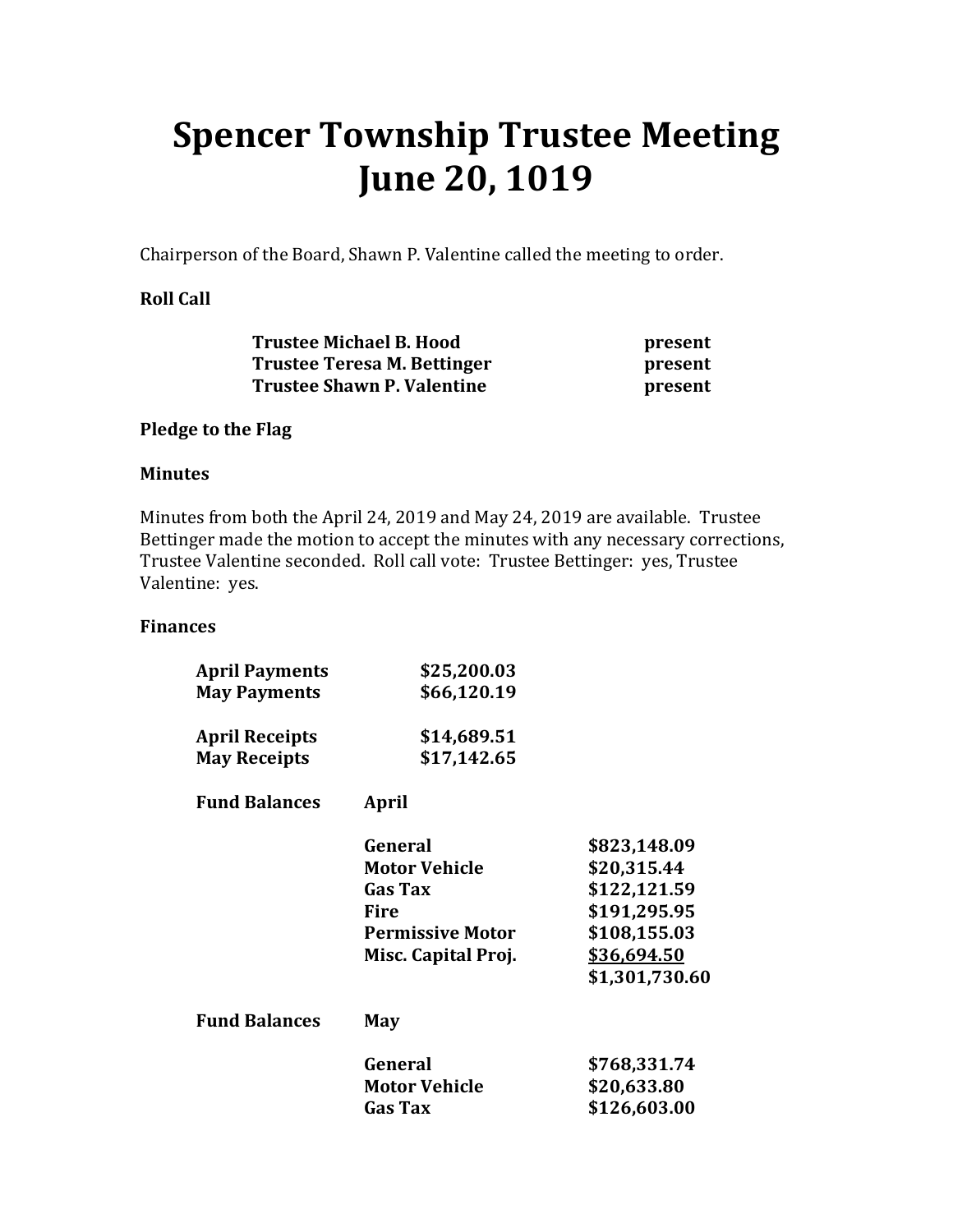# **Spencer Township Trustee Meeting June 20, 1019**

Chairperson of the Board, Shawn P. Valentine called the meeting to order.

## **Roll Call**

| <b>Trustee Michael B. Hood</b>    | present |
|-----------------------------------|---------|
| Trustee Teresa M. Bettinger       | present |
| <b>Trustee Shawn P. Valentine</b> | present |

#### **Pledge to the Flag**

#### **Minutes**

Minutes from both the April 24, 2019 and May 24, 2019 are available. Trustee Bettinger made the motion to accept the minutes with any necessary corrections, Trustee Valentine seconded. Roll call vote: Trustee Bettinger: yes, Trustee Valentine: yes.

#### **Finances**

| <b>April Payments</b> | \$25,200.03             |                |
|-----------------------|-------------------------|----------------|
| <b>May Payments</b>   | \$66,120.19             |                |
| <b>April Receipts</b> | \$14,689.51             |                |
| <b>May Receipts</b>   | \$17,142.65             |                |
| <b>Fund Balances</b>  | April                   |                |
|                       | General                 | \$823,148.09   |
|                       | <b>Motor Vehicle</b>    | \$20,315.44    |
|                       | <b>Gas Tax</b>          | \$122,121.59   |
|                       | <b>Fire</b>             | \$191,295.95   |
|                       | <b>Permissive Motor</b> | \$108,155.03   |
|                       | Misc. Capital Proj.     | \$36,694.50    |
|                       |                         | \$1,301,730.60 |
| <b>Fund Balances</b>  | May                     |                |
|                       | General                 | \$768,331.74   |
|                       | Motor Vehicle           | \$20,633.80    |
|                       | <b>Gas Tax</b>          | \$126,603.00   |
|                       |                         |                |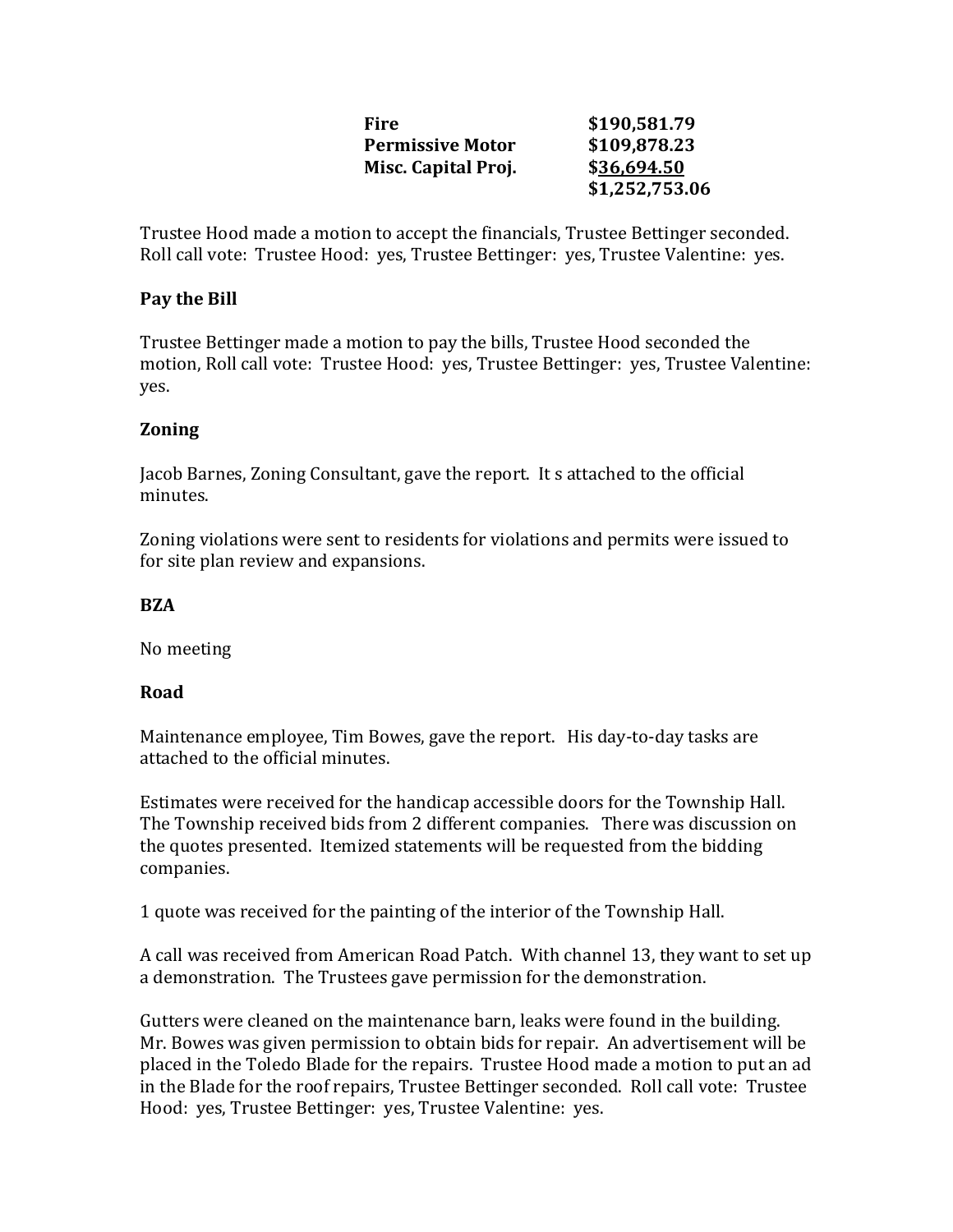| Fire                    | \$190,581.79   |
|-------------------------|----------------|
| <b>Permissive Motor</b> | \$109,878.23   |
| Misc. Capital Proj.     | \$36,694.50    |
|                         | \$1,252,753.06 |

Trustee Hood made a motion to accept the financials, Trustee Bettinger seconded. Roll call vote: Trustee Hood: yes, Trustee Bettinger: yes, Trustee Valentine: yes.

### **Pay the Bill**

Trustee Bettinger made a motion to pay the bills, Trustee Hood seconded the motion, Roll call vote: Trustee Hood: yes, Trustee Bettinger: yes, Trustee Valentine: yes.

#### **Zoning**

Jacob Barnes, Zoning Consultant, gave the report. It s attached to the official minutes.

Zoning violations were sent to residents for violations and permits were issued to for site plan review and expansions.

#### **BZA**

No meeting

#### **Road**

Maintenance employee, Tim Bowes, gave the report. His day-to-day tasks are attached to the official minutes.

Estimates were received for the handicap accessible doors for the Township Hall. The Township received bids from 2 different companies. There was discussion on the quotes presented. Itemized statements will be requested from the bidding companies.

1 quote was received for the painting of the interior of the Township Hall.

A call was received from American Road Patch. With channel 13, they want to set up a demonstration. The Trustees gave permission for the demonstration.

Gutters were cleaned on the maintenance barn, leaks were found in the building. Mr. Bowes was given permission to obtain bids for repair. An advertisement will be placed in the Toledo Blade for the repairs. Trustee Hood made a motion to put an ad in the Blade for the roof repairs, Trustee Bettinger seconded. Roll call vote: Trustee Hood: yes, Trustee Bettinger: yes, Trustee Valentine: yes.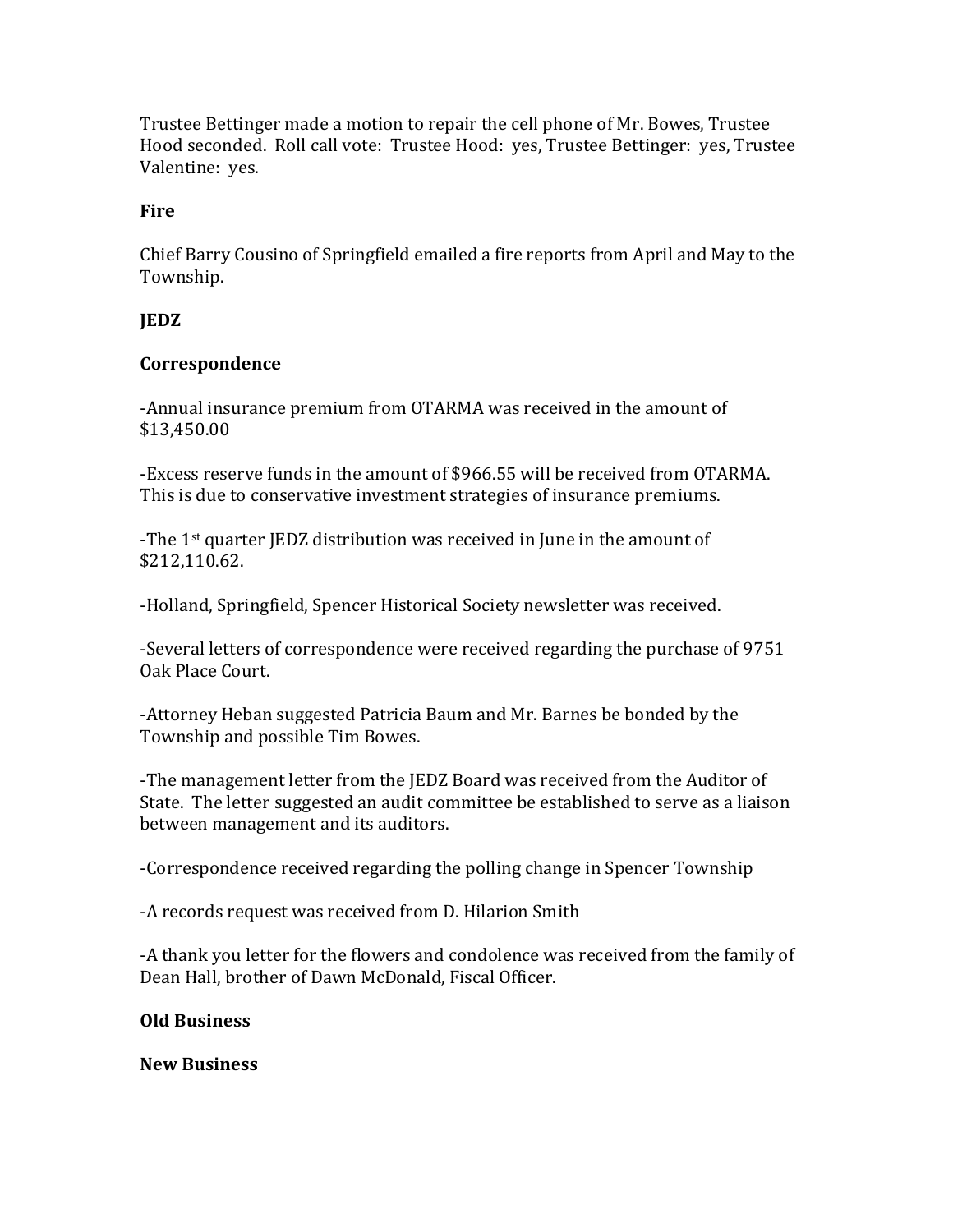Trustee Bettinger made a motion to repair the cell phone of Mr. Bowes, Trustee Hood seconded. Roll call vote: Trustee Hood: yes, Trustee Bettinger: yes, Trustee Valentine: yes.

## **Fire**

Chief Barry Cousino of Springfield emailed a fire reports from April and May to the Township.

## **JEDZ**

#### **Correspondence**

-Annual insurance premium from OTARMA was received in the amount of \$13,450.00

-Excess reserve funds in the amount of \$966.55 will be received from OTARMA. This is due to conservative investment strategies of insurance premiums.

-The 1<sup>st</sup> quarter JEDZ distribution was received in June in the amount of \$212,110.62.

-Holland, Springfield, Spencer Historical Society newsletter was received.

-Several letters of correspondence were received regarding the purchase of 9751 Oak Place Court.

-Attorney Heban suggested Patricia Baum and Mr. Barnes be bonded by the Township and possible Tim Bowes.

-The management letter from the JEDZ Board was received from the Auditor of State. The letter suggested an audit committee be established to serve as a liaison between management and its auditors.

-Correspondence received regarding the polling change in Spencer Township

-A records request was received from D. Hilarion Smith

-A thank you letter for the flowers and condolence was received from the family of Dean Hall, brother of Dawn McDonald, Fiscal Officer.

#### **Old Business**

**New Business**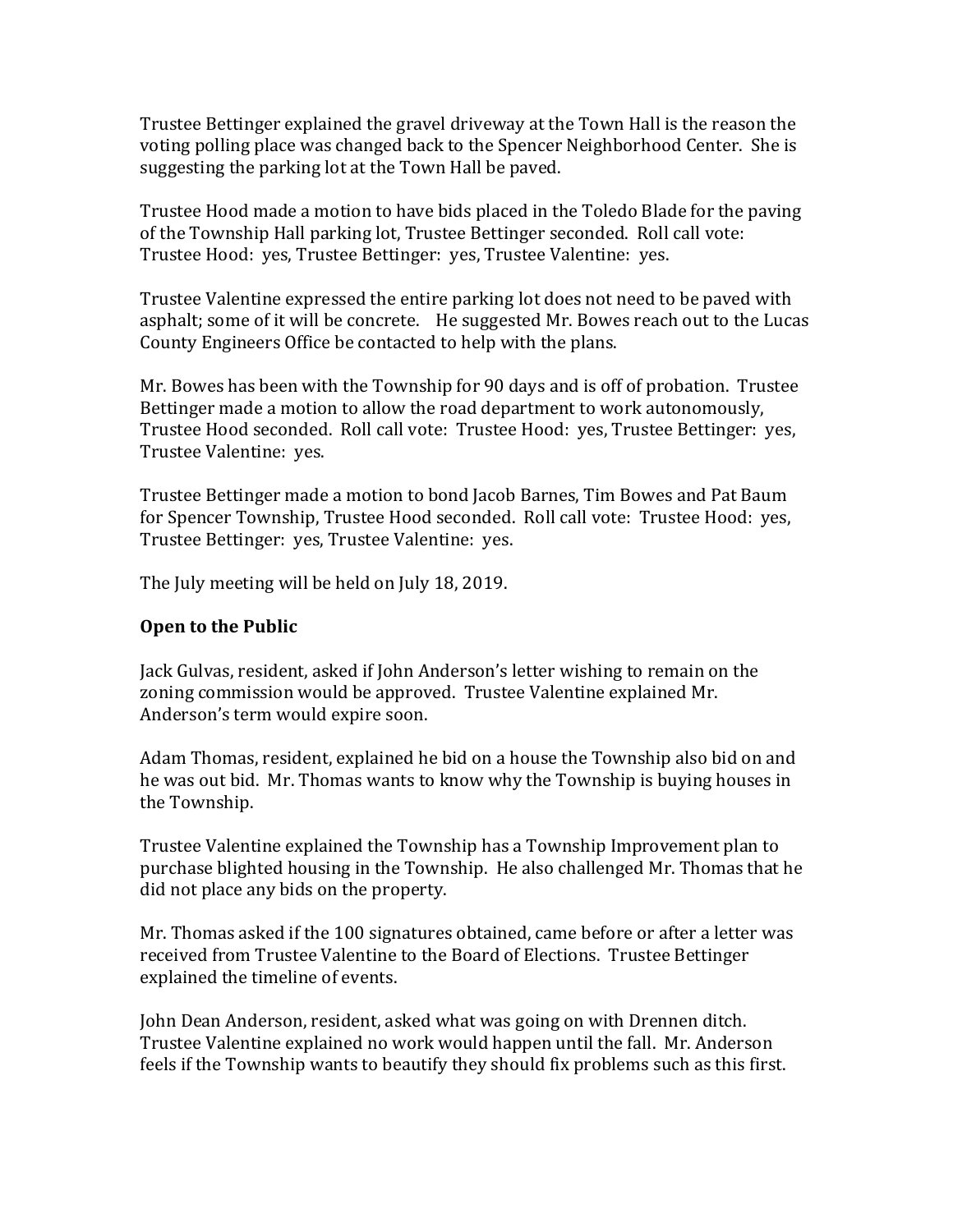Trustee Bettinger explained the gravel driveway at the Town Hall is the reason the voting polling place was changed back to the Spencer Neighborhood Center. She is suggesting the parking lot at the Town Hall be paved.

Trustee Hood made a motion to have bids placed in the Toledo Blade for the paving of the Township Hall parking lot, Trustee Bettinger seconded. Roll call vote: Trustee Hood: yes, Trustee Bettinger: yes, Trustee Valentine: yes.

Trustee Valentine expressed the entire parking lot does not need to be paved with asphalt; some of it will be concrete. He suggested Mr. Bowes reach out to the Lucas County Engineers Office be contacted to help with the plans.

Mr. Bowes has been with the Township for 90 days and is off of probation. Trustee Bettinger made a motion to allow the road department to work autonomously, Trustee Hood seconded. Roll call vote: Trustee Hood: yes, Trustee Bettinger: yes, Trustee Valentine: yes.

Trustee Bettinger made a motion to bond Jacob Barnes, Tim Bowes and Pat Baum for Spencer Township, Trustee Hood seconded. Roll call vote: Trustee Hood: yes, Trustee Bettinger: yes, Trustee Valentine: yes.

The July meeting will be held on July 18, 2019.

## **Open to the Public**

Jack Gulvas, resident, asked if John Anderson's letter wishing to remain on the zoning commission would be approved. Trustee Valentine explained Mr. Anderson's term would expire soon.

Adam Thomas, resident, explained he bid on a house the Township also bid on and he was out bid. Mr. Thomas wants to know why the Township is buying houses in the Township.

Trustee Valentine explained the Township has a Township Improvement plan to purchase blighted housing in the Township. He also challenged Mr. Thomas that he did not place any bids on the property.

Mr. Thomas asked if the 100 signatures obtained, came before or after a letter was received from Trustee Valentine to the Board of Elections. Trustee Bettinger explained the timeline of events.

John Dean Anderson, resident, asked what was going on with Drennen ditch. Trustee Valentine explained no work would happen until the fall. Mr. Anderson feels if the Township wants to beautify they should fix problems such as this first.